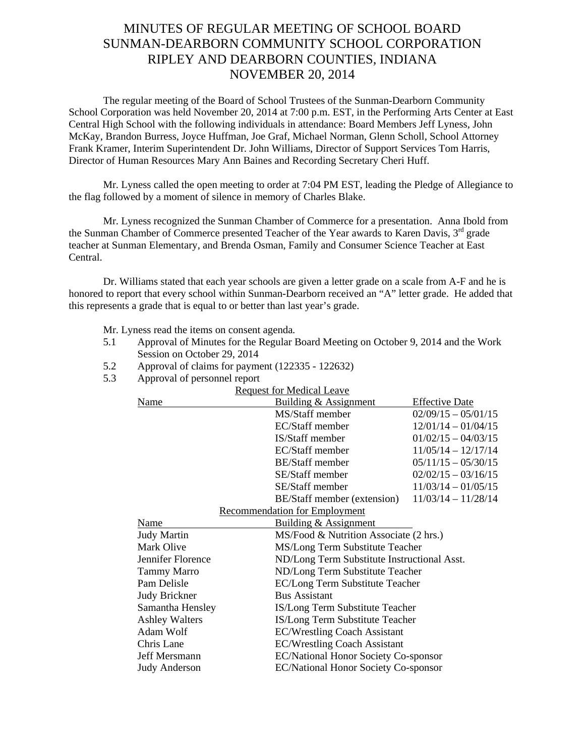## MINUTES OF REGULAR MEETING OF SCHOOL BOARD SUNMAN-DEARBORN COMMUNITY SCHOOL CORPORATION RIPLEY AND DEARBORN COUNTIES, INDIANA NOVEMBER 20, 2014

The regular meeting of the Board of School Trustees of the Sunman-Dearborn Community School Corporation was held November 20, 2014 at 7:00 p.m. EST, in the Performing Arts Center at East Central High School with the following individuals in attendance: Board Members Jeff Lyness, John McKay, Brandon Burress, Joyce Huffman, Joe Graf, Michael Norman, Glenn Scholl, School Attorney Frank Kramer, Interim Superintendent Dr. John Williams, Director of Support Services Tom Harris, Director of Human Resources Mary Ann Baines and Recording Secretary Cheri Huff.

Mr. Lyness called the open meeting to order at 7:04 PM EST, leading the Pledge of Allegiance to the flag followed by a moment of silence in memory of Charles Blake.

 Mr. Lyness recognized the Sunman Chamber of Commerce for a presentation. Anna Ibold from the Sunman Chamber of Commerce presented Teacher of the Year awards to Karen Davis, 3<sup>rd</sup> grade teacher at Sunman Elementary, and Brenda Osman, Family and Consumer Science Teacher at East Central.

 Dr. Williams stated that each year schools are given a letter grade on a scale from A-F and he is honored to report that every school within Sunman-Dearborn received an "A" letter grade. He added that this represents a grade that is equal to or better than last year's grade.

Mr. Lyness read the items on consent agenda*.* 

- 5.1 Approval of Minutes for the Regular Board Meeting on October 9, 2014 and the Work Session on October 29, 2014
- 5.2 Approval of claims for payment (122335 122632)
- 5.3 Approval of personnel report

| Approvar or personner report         |                                  |                                             |  |  |
|--------------------------------------|----------------------------------|---------------------------------------------|--|--|
| <b>Request for Medical Leave</b>     |                                  |                                             |  |  |
| Name                                 | Building & Assignment            | <b>Effective Date</b>                       |  |  |
|                                      | MS/Staff member                  | $02/09/15 - 05/01/15$                       |  |  |
|                                      | EC/Staff member                  | $12/01/14 - 01/04/15$                       |  |  |
|                                      | IS/Staff member                  | $01/02/15 - 04/03/15$                       |  |  |
|                                      | EC/Staff member                  | $11/05/14 - 12/17/14$                       |  |  |
|                                      | <b>BE/Staff</b> member           | $05/11/15 - 05/30/15$                       |  |  |
|                                      | SE/Staff member                  | $02/02/15 - 03/16/15$                       |  |  |
|                                      | SE/Staff member                  | $11/03/14 - 01/05/15$                       |  |  |
|                                      | BE/Staff member (extension)      | $11/03/14 - 11/28/14$                       |  |  |
| <b>Recommendation for Employment</b> |                                  |                                             |  |  |
| Name                                 | <b>Building &amp; Assignment</b> |                                             |  |  |
| <b>Judy Martin</b>                   |                                  | MS/Food & Nutrition Associate (2 hrs.)      |  |  |
| Mark Olive                           |                                  | MS/Long Term Substitute Teacher             |  |  |
| Jennifer Florence                    |                                  | ND/Long Term Substitute Instructional Asst. |  |  |
| <b>Tammy Marro</b>                   |                                  | ND/Long Term Substitute Teacher             |  |  |
| Pam Delisle                          |                                  | <b>EC/Long Term Substitute Teacher</b>      |  |  |
| <b>Judy Brickner</b>                 | <b>Bus Assistant</b>             |                                             |  |  |
| Samantha Hensley                     |                                  | IS/Long Term Substitute Teacher             |  |  |
| <b>Ashley Walters</b>                |                                  | IS/Long Term Substitute Teacher             |  |  |
| Adam Wolf                            |                                  | <b>EC/Wrestling Coach Assistant</b>         |  |  |
| Chris Lane                           |                                  | <b>EC/Wrestling Coach Assistant</b>         |  |  |
| Jeff Mersmann                        |                                  | <b>EC/National Honor Society Co-sponsor</b> |  |  |
| <b>Judy Anderson</b>                 |                                  | <b>EC/National Honor Society Co-sponsor</b> |  |  |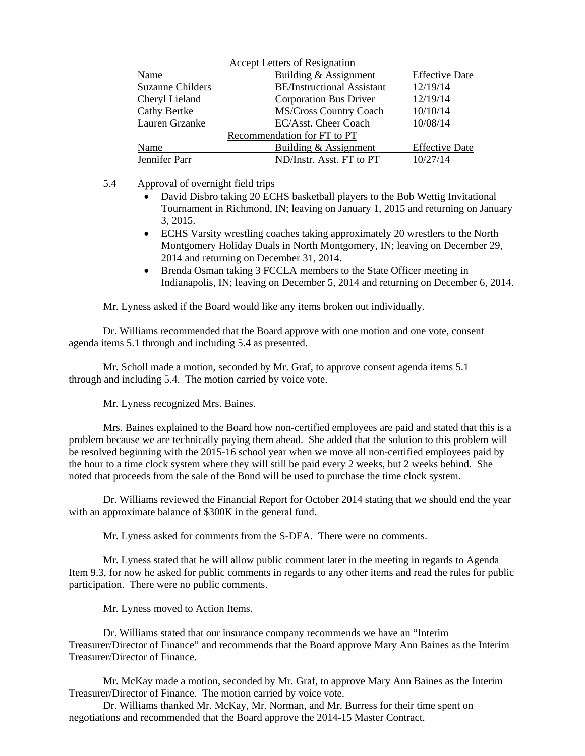| <b>Accept Letters of Resignation</b> |                                   |                       |  |
|--------------------------------------|-----------------------------------|-----------------------|--|
| Name                                 | Building & Assignment             | <b>Effective Date</b> |  |
| <b>Suzanne Childers</b>              | <b>BE/Instructional Assistant</b> | 12/19/14              |  |
| Cheryl Lieland                       | Corporation Bus Driver            | 12/19/14              |  |
| <b>Cathy Bertke</b>                  | <b>MS/Cross Country Coach</b>     | 10/10/14              |  |
| Lauren Grzanke                       | EC/Asst. Cheer Coach              | 10/08/14              |  |
| Recommendation for FT to PT          |                                   |                       |  |
| Name                                 | Building & Assignment             | <b>Effective Date</b> |  |
| Jennifer Parr                        | ND/Instr. Asst. FT to PT          | 10/27/14              |  |

5.4 Approval of overnight field trips

- David Disbro taking 20 ECHS basketball players to the Bob Wettig Invitational Tournament in Richmond, IN; leaving on January 1, 2015 and returning on January 3, 2015.
- ECHS Varsity wrestling coaches taking approximately 20 wrestlers to the North Montgomery Holiday Duals in North Montgomery, IN; leaving on December 29, 2014 and returning on December 31, 2014.
- Brenda Osman taking 3 FCCLA members to the State Officer meeting in Indianapolis, IN; leaving on December 5, 2014 and returning on December 6, 2014.

Mr. Lyness asked if the Board would like any items broken out individually.

Dr. Williams recommended that the Board approve with one motion and one vote, consent agenda items 5.1 through and including 5.4 as presented.

Mr. Scholl made a motion, seconded by Mr. Graf, to approve consent agenda items 5.1 through and including 5.4. The motion carried by voice vote.

Mr. Lyness recognized Mrs. Baines.

Mrs. Baines explained to the Board how non-certified employees are paid and stated that this is a problem because we are technically paying them ahead. She added that the solution to this problem will be resolved beginning with the 2015-16 school year when we move all non-certified employees paid by the hour to a time clock system where they will still be paid every 2 weeks, but 2 weeks behind. She noted that proceeds from the sale of the Bond will be used to purchase the time clock system.

Dr. Williams reviewed the Financial Report for October 2014 stating that we should end the year with an approximate balance of \$300K in the general fund.

Mr. Lyness asked for comments from the S-DEA. There were no comments.

 Mr. Lyness stated that he will allow public comment later in the meeting in regards to Agenda Item 9.3, for now he asked for public comments in regards to any other items and read the rules for public participation. There were no public comments.

Mr. Lyness moved to Action Items.

Dr. Williams stated that our insurance company recommends we have an "Interim Treasurer/Director of Finance" and recommends that the Board approve Mary Ann Baines as the Interim Treasurer/Director of Finance.

Mr. McKay made a motion, seconded by Mr. Graf, to approve Mary Ann Baines as the Interim Treasurer/Director of Finance. The motion carried by voice vote.

Dr. Williams thanked Mr. McKay, Mr. Norman, and Mr. Burress for their time spent on negotiations and recommended that the Board approve the 2014-15 Master Contract.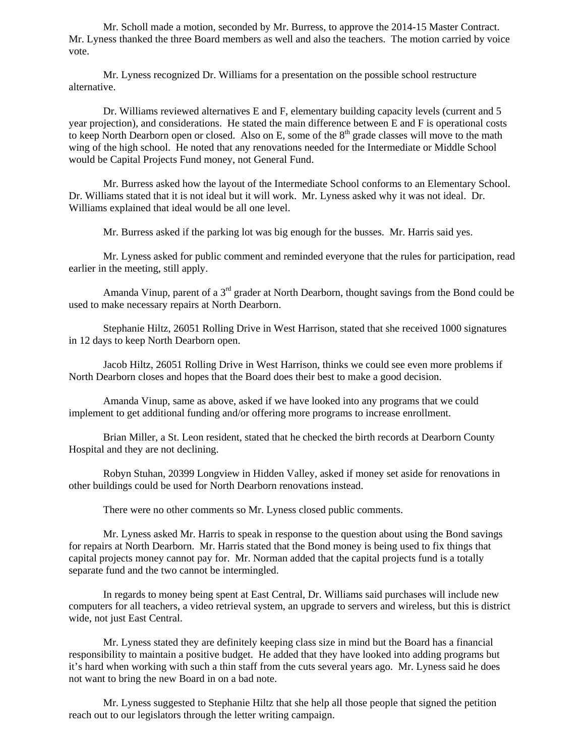Mr. Scholl made a motion, seconded by Mr. Burress, to approve the 2014-15 Master Contract. Mr. Lyness thanked the three Board members as well and also the teachers. The motion carried by voice vote.

Mr. Lyness recognized Dr. Williams for a presentation on the possible school restructure alternative.

Dr. Williams reviewed alternatives E and F, elementary building capacity levels (current and 5 year projection), and considerations. He stated the main difference between E and F is operational costs to keep North Dearborn open or closed. Also on E, some of the  $8<sup>th</sup>$  grade classes will move to the math wing of the high school. He noted that any renovations needed for the Intermediate or Middle School would be Capital Projects Fund money, not General Fund.

Mr. Burress asked how the layout of the Intermediate School conforms to an Elementary School. Dr. Williams stated that it is not ideal but it will work. Mr. Lyness asked why it was not ideal. Dr. Williams explained that ideal would be all one level.

Mr. Burress asked if the parking lot was big enough for the busses. Mr. Harris said yes.

Mr. Lyness asked for public comment and reminded everyone that the rules for participation, read earlier in the meeting, still apply.

Amanda Vinup, parent of a  $3<sup>rd</sup>$  grader at North Dearborn, thought savings from the Bond could be used to make necessary repairs at North Dearborn.

Stephanie Hiltz, 26051 Rolling Drive in West Harrison, stated that she received 1000 signatures in 12 days to keep North Dearborn open.

Jacob Hiltz, 26051 Rolling Drive in West Harrison, thinks we could see even more problems if North Dearborn closes and hopes that the Board does their best to make a good decision.

Amanda Vinup, same as above, asked if we have looked into any programs that we could implement to get additional funding and/or offering more programs to increase enrollment.

Brian Miller, a St. Leon resident, stated that he checked the birth records at Dearborn County Hospital and they are not declining.

Robyn Stuhan, 20399 Longview in Hidden Valley, asked if money set aside for renovations in other buildings could be used for North Dearborn renovations instead.

There were no other comments so Mr. Lyness closed public comments.

Mr. Lyness asked Mr. Harris to speak in response to the question about using the Bond savings for repairs at North Dearborn. Mr. Harris stated that the Bond money is being used to fix things that capital projects money cannot pay for. Mr. Norman added that the capital projects fund is a totally separate fund and the two cannot be intermingled.

In regards to money being spent at East Central, Dr. Williams said purchases will include new computers for all teachers, a video retrieval system, an upgrade to servers and wireless, but this is district wide, not just East Central.

 Mr. Lyness stated they are definitely keeping class size in mind but the Board has a financial responsibility to maintain a positive budget. He added that they have looked into adding programs but it's hard when working with such a thin staff from the cuts several years ago. Mr. Lyness said he does not want to bring the new Board in on a bad note.

 Mr. Lyness suggested to Stephanie Hiltz that she help all those people that signed the petition reach out to our legislators through the letter writing campaign.